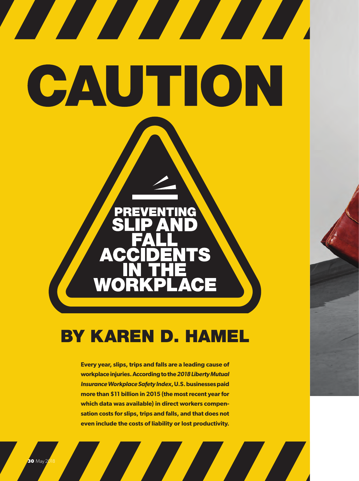# CAUTION

<u> The Communication of the Communication of the Communication of the Communication of the Communication of the </u>

# **BY KAREN D. HAMEL**

 $\mathbf{A}$ 

**Every year, slips, trips and falls are a leading cause of workplace injuries. According to the** *2018 Liberty Mutual Insurance Workplace Safety Index***, U.S. businesses paid more than \$11 billion in 2015 (the most recent year for which data was available) in direct workers compensation costs for slips, trips and falls, and that does not even include the costs of liability or lost productivity.**

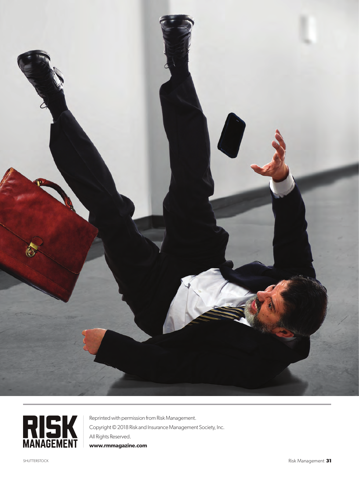



Reprinted with permission from Risk Management. Copyright © 2018 Risk and Insurance Management Society, Inc. All Rights Reserved. **www.rmmagazine.com**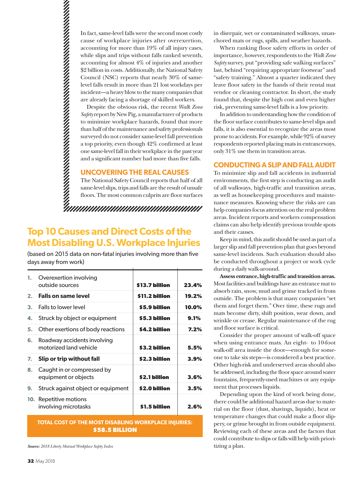In fact, same-level falls were the second most costly cause of workplace injuries after overexertion, accounting for more than 19% of all injury cases, while slips and trips without falls ranked seventh, accounting for almost 4% of injuries and another \$2 billion in costs. Additionally, the National Safety Council (NSC) reports that nearly 30% of samelevel falls result in more than 21 lost workdays per incident—a heavy blow to the many companies that are already facing a shortage of skilled workers.

Despite the obvious risk, the recent *Walk Zone Safety* report by New Pig, a manufacturer of products to minimize workplace hazards, found that more than half of the maintenance and safety professionals surveyed do not consider same-level fall prevention a top priority, even though 42% confirmed at least one same-level fall in their workplace in the past year and a significant number had more than five falls.

# **UNCOVERING THE REAL CAUSES**

The National Safety Council reports that half of all same-level slips, trips and falls are the result of unsafe floors. The most common culprits are floor surfaces

# **Top 10 Causes and Direct Costs of the Most Disabling U.S. Workplace Injuries**

(based on 2015 data on non-fatal injuries involving more than five days away from work)

| 1. | Overexertion involving<br>outside sources             | \$13.7 billion | 23.4%   |
|----|-------------------------------------------------------|----------------|---------|
|    | 2. Falls on same level                                | \$11.2 billion | 19.2%   |
| 3. | Falls to lower level                                  | \$5.9 billion  | 10.0%   |
| 4. | Struck by object or equipment                         | \$5.3 billion  | 9.1%    |
| 5. | Other exertions of body reactions                     | \$4.2 billion  | $7.2\%$ |
| 6. | Roadway accidents involving<br>motorized land vehicle | \$3.2 billion  | 5.5%    |
| 7. | Slip or trip without fall                             | \$2.3 billion  | 3.9%    |
|    | 8. Caught in or compressed by<br>equipment or objects | \$2.1 billion  | 3.6%    |
| 9. | Struck against object or equipment                    | \$2.0 billion  | 3.5%    |
|    | 10. Repetitive motions<br>involving microtasks        | \$1.5 billion  | 2.6%    |

## **TOTAL COST OF THE MOST DISABLING WORKPLACE INJURIES: \$58.5 BILLION**

*Source: 2018 Liberty Mutual Workplace Safety Index*

in disrepair, wet or contaminated walkways, unanchored mats or rugs, spills, and weather hazards.

When ranking floor safety efforts in order of importance, however, respondents to the *Walk Zone Safety* survey, put "providing safe walking surfaces" last, behind "requiring appropriate footwear" and "safety training." Almost a quarter indicated they leave floor safety in the hands of their rental mat vendor or cleaning contractor. In short, the study found that, despite the high cost and even higher risk, preventing same-level falls is a low priority.

In addition to understanding how the condition of the floor surface contributes to same-level slips and falls, it is also essential to recognize the areas most prone to accidents. For example, while 92% of survey respondents reported placing mats in entranceways, only 31% use them in transition areas.

### **CONDUCTING A SLIP AND FALL AUDIT**

To minimize slip and fall accidents in industrial environments, the first step is conducting an audit of all walkways, high-traffic and transition areas, as well as housekeeping procedures and maintenance measures. Knowing where the risks are can help companies focus attention on the real problem areas. Incident reports and workers compensation claims can also help identify previous trouble spots and their causes.

Keep in mind, this audit should be used as part of a larger slip and fall prevention plan that goes beyond same-level incidents. Such evaluation should also be conducted throughout a project or work cycle during a daily walk-around.

**Assess entrance, high-traffic and transition areas.**  Most facilities and buildings have an entrance mat to absorb rain, snow, mud and grime tracked in from outside. The problem is that many companies "set them and forget them." Over time, these rugs and mats become dirty, shift position, wear down, and wrinkle or crease. Regular maintenance of the rug and floor surface is critical.

Consider the proper amount of walk-off space when using entrance mats. An eight- to 10-foot walk-off area inside the door—enough for someone to take six steps—is considered a best practice. Other high-risk and underserved areas should also be addressed, including the floor space around water fountains, frequently-used machines or any equipment that processes liquids.

Depending upon the kind of work being done, there could be additional hazard areas due to material on the floor (dust, shavings, liquids), heat or temperature changes that could make a floor slippery, or grime brought in from outside equipment. Reviewing each of these areas and the factors that could contribute to slips or falls will help with prioritizing a plan.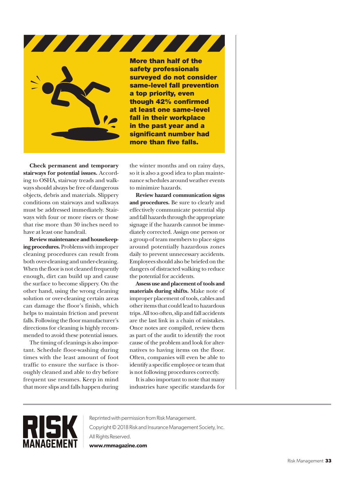

More than half of the safety professionals surveyed do not consider same-level fall prevention a top priority, even though 42% confirmed at least one same-level fall in their workplace in the past year and a significant number had more than five falls.

**Check permanent and temporary stairways for potential issues.** According to OSHA, stairway treads and walkways should always be free of dangerous objects, debris and materials. Slippery conditions on stairways and walkways must be addressed immediately. Stairways with four or more risers or those that rise more than 30 inches need to have at least one handrail.

**Review maintenance and housekeeping procedures.** Problems with improper cleaning procedures can result from both over-cleaning and under-cleaning. When the floor is not cleaned frequently enough, dirt can build up and cause the surface to become slippery. On the other hand, using the wrong cleaning solution or over-cleaning certain areas can damage the floor's finish, which helps to maintain friction and prevent falls. Following the floor manufacturer's directions for cleaning is highly recommended to avoid these potential issues.

The timing of cleanings is also important. Schedule floor-washing during times with the least amount of foot traffic to ensure the surface is thoroughly cleaned and able to dry before frequent use resumes. Keep in mind that more slips and falls happen during

the winter months and on rainy days, so it is also a good idea to plan maintenance schedules around weather events to minimize hazards.

**Review hazard communication signs and procedures.** Be sure to clearly and effectively communicate potential slip and fall hazards through the appropriate signage if the hazards cannot be immediately corrected. Assign one person or a group of team members to place signs around potentially hazardous zones daily to prevent unnecessary accidents. Employees should also be briefed on the dangers of distracted walking to reduce the potential for accidents.

**Assess use and placement of tools and materials during shifts.** Make note of improper placement of tools, cables and other items that could lead to hazardous trips. All too often, slip and fall accidents are the last link in a chain of mistakes. Once notes are compiled, review them as part of the audit to identify the root cause of the problem and look for alternatives to having items on the floor. Often, companies will even be able to identify a specific employee or team that is not following procedures correctly.

It is also important to note that many industries have specific standards for



Reprinted with permission from Risk Management. Copyright © 2018 Risk and Insurance Management Society, Inc. All Rights Reserved. **www.rmmagazine.com**